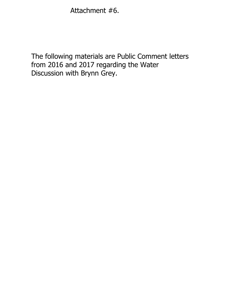Attachment #6.

The following materials are Public Comment letters from 2016 and 2017 regarding the Water Discussion with Brynn Grey.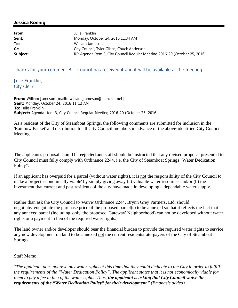## **Jessica Koenig**

| From:    | Julie Franklin                                                             |  |
|----------|----------------------------------------------------------------------------|--|
| Sent:    | Monday, October 24, 2016 11:34 AM                                          |  |
| To:      | William Jameson                                                            |  |
| Cc:      | City Council; Tyler Gibbs; Chuck Anderson                                  |  |
| Subject: | RE: Agenda Item 3, City Council Regular Meeting 2016-20 (October 25, 2016) |  |

Thanks for your comment Bill. Council has received it and it will be available at the meeting.

Julie Franklin, City Clerk

**From:** William Jameson [mailto:williamgjameson@comcast.net] **Sent:** Monday, October 24, 2016 11:12 AM **To:** Julie Franklin **Subject:** Agenda Item 3, City Council Regular Meeting 2016-20 (October 25, 2016)

As a resident of the City of Steamboat Springs, the following comments are submitted for inclusion in the 'Rainbow Packet' and distribution to all City Council members in advance of the above-identified City Council Meeting.

The applicant's proposal should be **rejected** and staff should be instructed that any revised proposal presented to City Council must fully comply with Ordinance 2244, i.e. the City of Steamboat Springs "Water Dedication Policy".

If an applicant has overpaid for a parcel (without water rights), it is not the responsibility of the City Council to make a project 'economically viable' by simply giving away (a) valuable water resources and/or (b) the investment that current and past residents of the city have made in developing a dependable water supply.

Rather than ask the City Council to 'waive' Ordinance 2244, Brynn Grey Partners, Ltd. should negotiate/renegotiate the purchase price of the proposed parcel(s) to be annexed so that it reflects the fact that any annexed parcel (including 'only' the proposed 'Gateway' Neighborhood) can not be developed without water rights or a payment in lieu of the required water rights.

The land owner and/or developer should bear the financial burden to provide the required water rights to service any new development on land to be annexed not the current residents/rate-payers of the City of Steamboat Springs.

## Staff Memo:

*"The applicant does not own any water rights at this time that they could dedicate to the City in order to fulfill the requirements of the "Water Dedication Policy". The applicant states that it is not economically viable for them to pay a fee in lieu of the water rights. Thus, the applicant is asking that City Council waive the requirements of the "Water Dedication Policy" for their development." (Emphasis added)*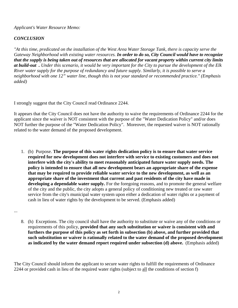*Applicant's Water Resource Memo:*

## *CONCLUSION*

*"At this time, predicated on the installation of the West Area Water Storage Tank, there is capacity serve the Gateway Neighborhood with existing water resources. In order to do so, City Council would have to recognize that the supply is being taken out of resources that are allocated for vacant property within current city limits at build-out . Under this scenario, it would be very important for the City to pursue the development of the Elk River water supply for the purpose of redundancy and future supply. Similarly, it is possible to serve a neighborhood with one 12" water line, though this is not your standard or recommended practice." (Emphasis added)*

I strongly suggest that the City Council read Ordinance 2244.

It appears that the City Council does not have the authority to waive the requirements of Ordinance 2244 for the applicant since the waiver is NOT consistent with the purpose of the "Water Dedication Policy" and/or does NOT further the purpose of the "Water Dedication Policy". Moreover, the requested waiver is NOT rationally related to the water demand of the proposed development.

1. (b) Purpose. **The purpose of this water rights dedication policy is to ensure that water service required for new development does not interfere with service to existing customers and does not interfere with the city's ability to meet reasonably anticipated future water supply needs. The policy is intended to ensure that all new development bears an appropriate share of the expense that may be required to provide reliable water service to the new development, as well as an appropriate share of the investment that current and past residents of the city have made in developing a dependable water supply.** For the foregoing reasons, and to promote the general welfare of the city and the public, the city adopts a general policy of conditioning new treated or raw water service from the city's municipal water system upon either a dedication of water rights or a payment of cash in lieu of water rights by the development to be served. (Emphasis added)

...

8. (h) Exceptions. The city council shall have the authority to substitute or waive any of the conditions or requirements of this policy, **provided that any such substitution or waiver is consistent with and furthers the purpose of this policy as set forth in subsection (b) above, and further provided that such substitution or waiver is rationally related to the water demand of the proposed development as indicated by the water demand report required under subsection (d) above.** (Emphasis added)

The City Council should inform the applicant to secure water rights to fulfill the requirements of Ordinance 2244 or provided cash in lieu of the required water rights (subject to all the conditions of section f)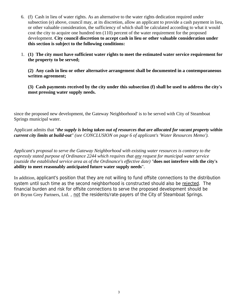- 6. (f) Cash in lieu of water rights. As an alternative to the water rights dedication required under subsection (e) above, council may, at its discretion, allow an applicant to provide a cash payment in lieu, or other valuable consideration, the sufficiency of which shall be calculated according to what it would cost the city to acquire one hundred ten (110) percent of the water requirement for the proposed development. **City council discretion to accept cash in lieu or other valuable consideration under this section is subject to the following conditions:**
- 1. **(1) The city must have sufficient water rights to meet the estimated water service requirement for the property to be served;**

**(2) Any cash in lieu or other alternative arrangement shall be documented in a contemporaneous written agreement;** 

**(3) Cash payments received by the city under this subsection (f) shall be used to address the city's most pressing water supply needs.** 

since the proposed new development, the Gateway Neighborhood' is to be served with City of Steamboat Springs municipal water.

Applicant admits that "*the supply is being taken out of resources that are allocated for vacant property within current city limits at build-out" (see CONCLUSION on page 6 of applicant's 'Water Resources Memo').* 

*Applicant's proposal to serve the Gateway Neighborhood with existing water resources is contrary to the expressly stated purpose of Ordinance 2244 which requires that any request for municipal water service (outside the established service area as of the Ordinance's effective date) "***does not interfere with the city's ability to meet reasonably anticipated future water supply needs**".

In addition, applicant's position that they are not willing to fund offsite connections to the distribution system until such time as the second neighborhood is constructed should also be rejected. The financial burden and risk for offsite connections to serve the proposed development should be on Brynn Grey Partners, Ltd., not the residents/rate-payers of the City of Steamboat Springs.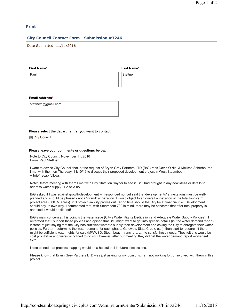#### **Print**

#### **City Council Contact Form - Submission #3246**

Date Submitted: 11/11/2016

#### **First Name\***

**Last Name\***

Paul

**Stettner** 

#### **Email Address\***

stattner1@gmail.com

#### **Please select the department(s) you want to contact:**

City Council

#### **Please leave your comments or questions below.**

Note to City Council: November 11, 2016 From: Paul Stettner

I want to advise City Council that, at the request of Brynn Grey Partners LTD (B/G) reps David O'Niel & Melissa Scherbourne I met with them on Thursday, 11/10/16 to discuss their proposed development project in West Steamboat. A brief recap follows.

Note: Before meeting with them I met with City Staff Jon Snyder to see if, B/G had brought in any new ideas or details to address water supply. He said no.

B/G asked if I was against growth/development – I responded no, but said that developments/ annexations must be wellplanned and should be phased - not a "grand" annexation. I would object to an overall annexation of the total long-term project area (500+/- acres) until project viability proves out. At no time should the City be at financial risk. Development should pay its own way. I commented that, with Steamboat 700 in mind, there may be concerns that after total property is annexed it would be flipped!

B/G's main concern at this point is the water issue (City's Water Rights Dedication and Adequate Water Supply Policies). I reiterated that I support these policies and opined that B/G might want to get into specific details (ie: the water demand report) instead of just saying that the City has sufficient water to supply their development and asking the City to abrogate their water policies. Further - determine the water demand for each phase, Gateway, Slate Creek, etc.) then start to research if there might be sufficient water rights for sale (MWWSD, Steamboat II, ranchers, …) to satisfy those needs. They felt this would be cost prohibitive and were disinclined to do so. However, after our meeting they did get the water demand report worksheet. So?

I also opined that process mapping would be a helpful tool in future discussions.

Please know that Brynn Grey Partners LTD was just asking for my opinions. I am not working for, or involved with them in this project.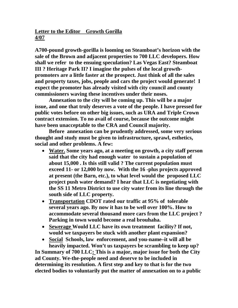**Letter to the Editor Growth Gorilla 4/07** 

**A700-pound growth-gorilla is looming on Steamboat's horizon with the sale of the Brown and adjacent properties to 700 LLC developers. How shall we refer to the ensuing speculation? Las Vegas East? Steamboat III ? Heritage Park II? I imagine the pulses of the local growthpromoters are a little faster at the prospect. Just think of all the sales and property taxes, jobs, people and cars the project would generate! I expect the promoter has already visited with city council and county commissioners waving these incentives under their noses.** 

 **Annexation to the city will be coming up. This will be a major issue, and one that truly deserves a vote of the people. I have pressed for public votes before on other big issues, such as URA and Triple Crown contract extension. To no avail of course, because the outcome might have been unacceptable to the CRA and Council majority.** 

**Before annexation can be prudently addressed, some very serious thought and study must be given to infrastructure, sprawl, esthetics, social and other problems. A few:** 

- **Water. Some years ago, at a meeting on growth, a city staff person said that the city had enough water to sustain a population of about 15,000 . Is this still valid ? The current population must exceed 11- or 12,000 by now. With the 16 -plus projects approved at present (the Barn, etc.), to what level would the proposed LLC project push water demand? I hear that LLC is negotiating with the SS 11 Metro District to use city water from its line through the south side of LLC property.**
- **Transportation CDOT rated our traffic at 95% of tolerable several years ago. By now it has to be well over 100%. How to accommodate several thousand more cars from the LLC project ? Parking in town would become a real brouhaha.**
- **Sewerage Would LLC have its own treatment facility? If not, would we taxpayers be stuck with another plant expansion?**
- **Social Schools, law enforcement, and you-name–it will all be heavily impacted. Won't us taxpayers be scrambling to keep up?**

**In Summary of 700 LLC: This is a major, major issue for both the City ad County. We-the-people need and deserve to be included in determining its resolution. A first step and key to that is for the two elected bodies to voluntarily put the matter of annexation on to a public**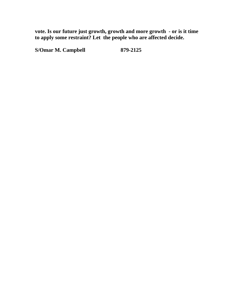**vote. Is our future just growth, growth and more growth - or is it time to apply some restraint? Let the people who are affected decide.** 

**S/Omar M. Campbell 879-2125**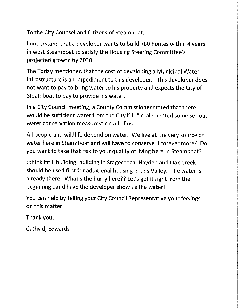To the City Counsel and Citizens of Steamboat:

I understand that a developer wants to build 700 homes within 4 years in west Steamboat to satisfy the Housing Steering Committee's projected growth by 2030.

The Today mentioned that the cost of developing a Municipal Water Infrastructure is an impediment to this developer. This developer does not want to pay to bring water to his property and expects the City of Steamboat to pay to provide his water.

In a City Council meeting, a County Commissioner stated that there would be sufficient water from the City if it "implemented some serious water conservation measures" on all of us.

All people and wildlife depend on water. We live at the very source of water here in Steamboat and will have to conserve it forever more? Do you want to take that risk to your quality of living here in Steamboat?

I think infill building, building in Stagecoach, Hayden and Oak Creek should be used first for additional housing in this Valley. The water is already there. What's the hurry here?? Let's get it right from the beginning...and have the developer show us the water!

You can help by telling your City Council Representative your feelings on this matter.

Thank you,

Cathy dj Edwards